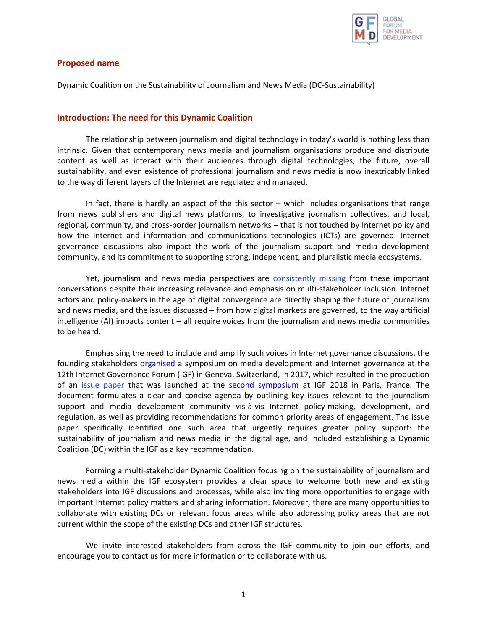

## **Proposed name**

Dynamic Coalition on the Sustainability of Journalism and News Media (DC-Sustainability)

## **Introduction: The need for this Dynamic Coalition**

The relationship between journalism and digital technology in today's world is nothing less than intrinsic. Given that contemporary news media and journalism organisations produce and distribute content as well as interact with their audiences through digital technologies, the future, overall sustainability, and even existence of professional journalism and news media is now inextricably linked to the way different layers of the Internet are regulated and managed.

In fact, there is hardly an aspect of the this sector – which includes organisations that range from news publishers and digital news platforms, to investigative journalism collectives, and local, regional, community, and cross-border journalism networks – that is not touched by Internet policy and how the Internet and information and communications technologies (ICTs) are governed. Internet governance discussions also impact the work of the journalism support and media development community, and its commitment to supporting strong, independent, and pluralistic media ecosystems.

Yet, journalism and news media perspectives are [consistently missing](https://www.cima.ned.org/blog/missing-stakeholder-internet-governance/) from these important conversations despite their increasing relevance and emphasis on multi-stakeholder inclusion. Internet actors and policy-makers in the age of digital convergence are directly shaping the future of journalism and news media, and the issues discussed – from how digital markets are governed, to the way artificial intelligence (AI) impacts content – all require voices from the journalism and news media communities to be heard.

Emphasising the need to include and amplify such voices in Internet governance discussions, the founding stakeholders [organised](https://gfmd.info/media-development-and-internet-governance-setting-the-agenda/) a symposium on media development and Internet governance at the 12th Internet Governance Forum (IGF) in Geneva, Switzerland, in 2017, which resulted in the production of an [issue paper](https://bit.ly/IssuePaperV4) that was launched at the [second symposium](https://gfmd.info/gfmd-at-the-2018-internet-governance-forum-igf2018/) at IGF 2018 in Paris, France. The document formulates a clear and concise agenda by outlining key issues relevant to the journalism support and media development community vis-à-vis Internet policy-making, development, and regulation, as well as providing recommendations for common priority areas of engagement. The issue paper specifically identified one such area that urgently requires greater policy support: the sustainability of journalism and news media in the digital age, and included establishing a Dynamic Coalition (DC) within the IGF as a key recommendation.

Forming a multi-stakeholder Dynamic Coalition focusing on the sustainability of journalism and news media within the IGF ecosystem provides a clear space to welcome both new and existing stakeholders into IGF discussions and processes, while also inviting more opportunities to engage with important Internet policy matters and sharing information. Moreover, there are many opportunities to collaborate with existing DCs on relevant focus areas while also addressing policy areas that are not current within the scope of the existing DCs and other IGF structures.

We invite interested stakeholders from across the IGF community to join our efforts, and encourage you to contact us for more information or to collaborate with us.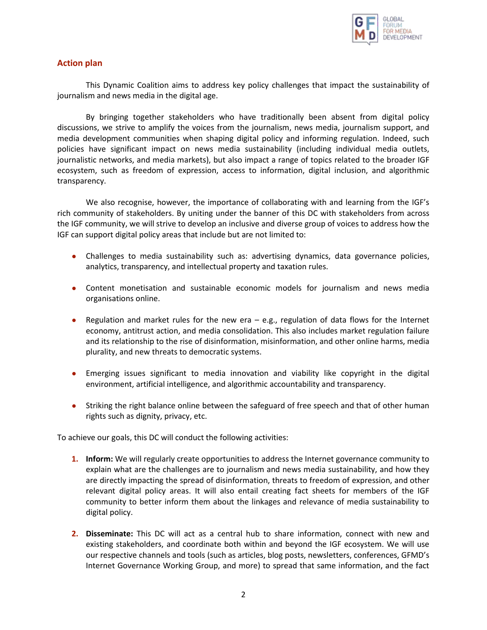

# **Action plan**

This Dynamic Coalition aims to address key policy challenges that impact the sustainability of journalism and news media in the digital age.

By bringing together stakeholders who have traditionally been absent from digital policy discussions, we strive to amplify the voices from the journalism, news media, journalism support, and media development communities when shaping digital policy and informing regulation. Indeed, such policies have significant impact on news media sustainability (including individual media outlets, journalistic networks, and media markets), but also impact a range of topics related to the broader IGF ecosystem, such as freedom of expression, access to information, digital inclusion, and algorithmic transparency.

We also recognise, however, the importance of collaborating with and learning from the IGF's rich community of stakeholders. By uniting under the banner of this DC with stakeholders from across the IGF community, we will strive to develop an inclusive and diverse group of voices to address how the IGF can support digital policy areas that include but are not limited to:

- Challenges to media sustainability such as: advertising dynamics, data governance policies, analytics, transparency, and intellectual property and taxation rules.
- Content monetisation and sustainable economic models for journalism and news media organisations online.
- Regulation and market rules for the new era e.g., regulation of data flows for the Internet economy, antitrust action, and media consolidation. This also includes market regulation failure and its relationship to the rise of disinformation, misinformation, and other online harms, media plurality, and new threats to democratic systems.
- Emerging issues significant to media innovation and viability like copyright in the digital environment, artificial intelligence, and algorithmic accountability and transparency.
- Striking the right balance online between the safeguard of free speech and that of other human rights such as dignity, privacy, etc.

To achieve our goals, this DC will conduct the following activities:

- **1. Inform:** We will regularly create opportunities to address the Internet governance community to explain what are the challenges are to journalism and news media sustainability, and how they are directly impacting the spread of disinformation, threats to freedom of expression, and other relevant digital policy areas. It will also entail creating fact sheets for members of the IGF community to better inform them about the linkages and relevance of media sustainability to digital policy.
- **2. Disseminate:** This DC will act as a central hub to share information, connect with new and existing stakeholders, and coordinate both within and beyond the IGF ecosystem. We will use our respective channels and tools (such as articles, blog posts, newsletters, conferences, GFMD's Internet Governance Working Group, and more) to spread that same information, and the fact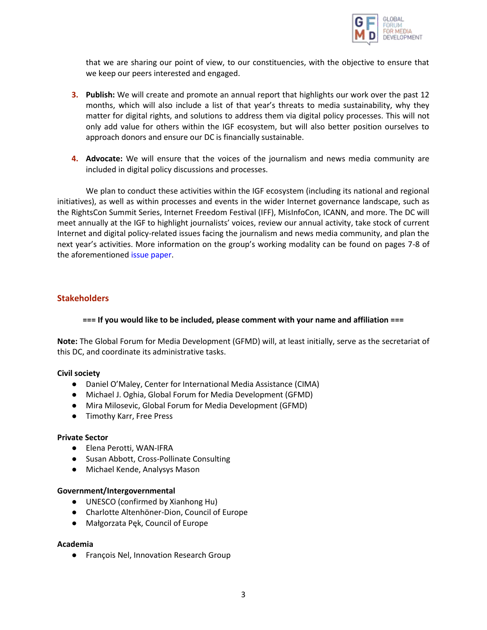

that we are sharing our point of view, to our constituencies, with the objective to ensure that we keep our peers interested and engaged.

- **3. Publish:** We will create and promote an annual report that highlights our work over the past 12 months, which will also include a list of that year's threats to media sustainability, why they matter for digital rights, and solutions to address them via digital policy processes. This will not only add value for others within the IGF ecosystem, but will also better position ourselves to approach donors and ensure our DC is financially sustainable.
- **4. Advocate:** We will ensure that the voices of the journalism and news media community are included in digital policy discussions and processes.

We plan to conduct these activities within the IGF ecosystem (including its national and regional initiatives), as well as within processes and events in the wider Internet governance landscape, such as the RightsCon Summit Series, Internet Freedom Festival (IFF), MisInfoCon, ICANN, and more. The DC will meet annually at the IGF to highlight journalists' voices, review our annual activity, take stock of current Internet and digital policy-related issues facing the journalism and news media community, and plan the next year's activities. More information on the group's working modality can be found on pages 7-8 of the aforementione[d issue paper.](https://bit.ly/IssuePaperV4)

## **Stakeholders**

#### **=== If you would like to be included, please comment with your name and affiliation ===**

**Note:** The Global Forum for Media Development (GFMD) will, at least initially, serve as the secretariat of this DC, and coordinate its administrative tasks.

#### **Civil society**

- Daniel O'Maley, Center for International Media Assistance (CIMA)
- Michael J. Oghia, Global Forum for Media Development (GFMD)
- Mira Milosevic, Global Forum for Media Development (GFMD)
- Timothy Karr, Free Press

#### **Private Sector**

- Elena Perotti, WAN-IFRA
- Susan Abbott, Cross-Pollinate Consulting
- Michael Kende, Analysys Mason

#### **Government/Intergovernmental**

- UNESCO (confirmed by Xianhong Hu)
- Charlotte Altenhöner-Dion, Council of Europe
- Małgorzata Pęk, Council of Europe

#### **Academia**

● François Nel, Innovation Research Group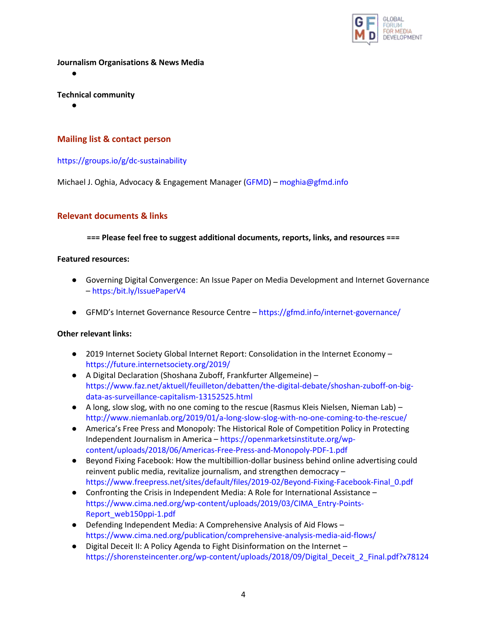

**Journalism Organisations & News Media**

●

## **Technical community**

●

# **Mailing list & contact person**

## <https://groups.io/g/dc-sustainability>

Michael J. Oghia, Advocacy & Engagement Manager [\(GFMD\)](https://gfmd.info/) – [moghia@gfmd.info](mailto:moghia@gfmd.info)

## **Relevant documents & links**

### **=== Please feel free to suggest additional documents, reports, links, and resources ===**

### **Featured resources:**

- Governing Digital Convergence: An Issue Paper on Media Development and Internet Governance – [https:/bit.ly/IssuePaperV4](https://bit.ly/IssuePaperV4)
- GFMD's Internet Governance Resource Centre <https://gfmd.info/internet-governance/>

## **Other relevant links:**

- 2019 Internet Society Global Internet Report: Consolidation in the Internet Economy <https://future.internetsociety.org/2019/>
- A Digital Declaration (Shoshana Zuboff, Frankfurter Allgemeine) [https://www.faz.net/aktuell/feuilleton/debatten/the-digital-debate/shoshan-zuboff-on-big](https://www.faz.net/aktuell/feuilleton/debatten/the-digital-debate/shoshan-zuboff-on-big-data-as-surveillance-capitalism-13152525.html)[data-as-surveillance-capitalism-13152525.html](https://www.faz.net/aktuell/feuilleton/debatten/the-digital-debate/shoshan-zuboff-on-big-data-as-surveillance-capitalism-13152525.html)
- A long, slow slog, with no one coming to the rescue (Rasmus Kleis Nielsen, Nieman Lab) <http://www.niemanlab.org/2019/01/a-long-slow-slog-with-no-one-coming-to-the-rescue/>
- America's Free Press and Monopoly: The Historical Role of Competition Policy in Protecting Independent Journalism in America – [https://openmarketsinstitute.org/wp](https://openmarketsinstitute.org/wp-content/uploads/2018/06/Americas-Free-Press-and-Monopoly-PDF-1.pdf)[content/uploads/2018/06/Americas-Free-Press-and-Monopoly-PDF-1.pdf](https://openmarketsinstitute.org/wp-content/uploads/2018/06/Americas-Free-Press-and-Monopoly-PDF-1.pdf)
- Beyond Fixing Facebook: How the multibillion-dollar business behind online advertising could reinvent public media, revitalize journalism, and strengthen democracy – [https://www.freepress.net/sites/default/files/2019-02/Beyond-Fixing-Facebook-Final\\_0.pdf](https://www.freepress.net/sites/default/files/2019-02/Beyond-Fixing-Facebook-Final_0.pdf)
- Confronting the Crisis in Independent Media: A Role for International Assistance [https://www.cima.ned.org/wp-content/uploads/2019/03/CIMA\\_Entry-Points-](https://www.cima.ned.org/wp-content/uploads/2019/03/CIMA_Entry-Points-Report_web150ppi-1.pdf)[Report\\_web150ppi-1.pdf](https://www.cima.ned.org/wp-content/uploads/2019/03/CIMA_Entry-Points-Report_web150ppi-1.pdf)
- Defending Independent Media: A Comprehensive Analysis of Aid Flows <https://www.cima.ned.org/publication/comprehensive-analysis-media-aid-flows/>
- Digital Deceit II: A Policy Agenda to Fight Disinformation on the Internet [https://shorensteincenter.org/wp-content/uploads/2018/09/Digital\\_Deceit\\_2\\_Final.pdf?x78124](https://shorensteincenter.org/wp-content/uploads/2018/09/Digital_Deceit_2_Final.pdf?x78124)